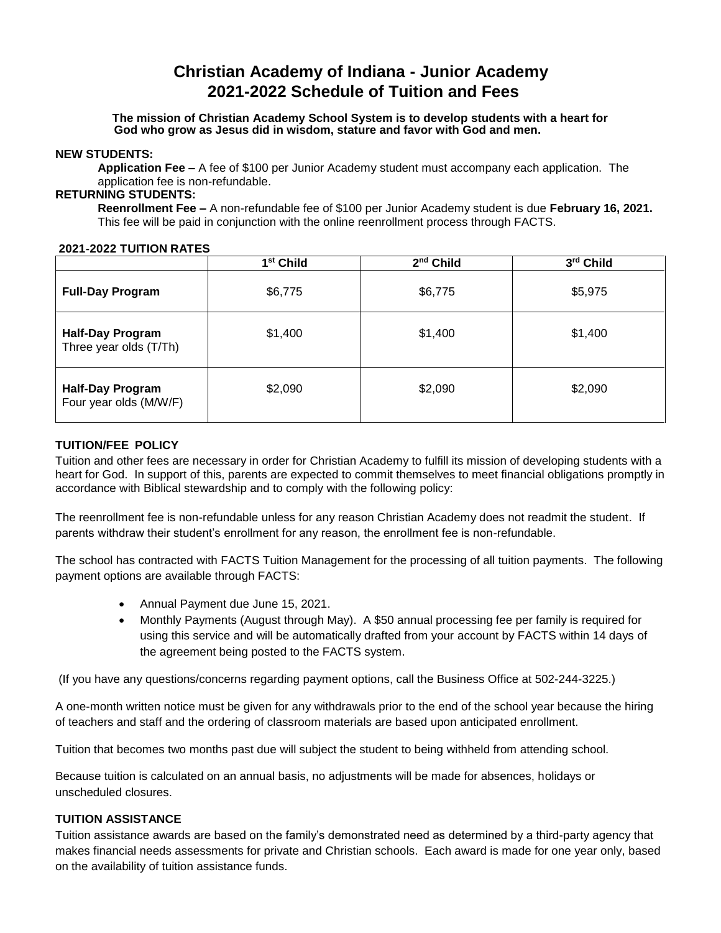# **Christian Academy of Indiana - Junior Academy 2021-2022 Schedule of Tuition and Fees**

**The mission of Christian Academy School System is to develop students with a heart for God who grow as Jesus did in wisdom, stature and favor with God and men.**

#### **NEW STUDENTS:**

**Application Fee –** A fee of \$100 per Junior Academy student must accompany each application. The application fee is non-refundable.

# **RETURNING STUDENTS:**

**Reenrollment Fee –** A non-refundable fee of \$100 per Junior Academy student is due **February 16, 2021.**  This fee will be paid in conjunction with the online reenrollment process through FACTS.

#### **2021-2022 TUITION RATES**

|                                                   | 1 <sup>st</sup> Child | 2 <sup>nd</sup> Child | 3rd Child |
|---------------------------------------------------|-----------------------|-----------------------|-----------|
| <b>Full-Day Program</b>                           | \$6,775               | \$6,775               | \$5,975   |
| <b>Half-Day Program</b><br>Three year olds (T/Th) | \$1,400               | \$1,400               | \$1,400   |
| <b>Half-Day Program</b><br>Four year olds (M/W/F) | \$2,090               | \$2,090               | \$2,090   |

### **TUITION/FEE POLICY**

Tuition and other fees are necessary in order for Christian Academy to fulfill its mission of developing students with a heart for God. In support of this, parents are expected to commit themselves to meet financial obligations promptly in accordance with Biblical stewardship and to comply with the following policy:

The reenrollment fee is non-refundable unless for any reason Christian Academy does not readmit the student. If parents withdraw their student's enrollment for any reason, the enrollment fee is non-refundable.

The school has contracted with FACTS Tuition Management for the processing of all tuition payments. The following payment options are available through FACTS:

- Annual Payment due June 15, 2021.
- Monthly Payments (August through May). A \$50 annual processing fee per family is required for using this service and will be automatically drafted from your account by FACTS within 14 days of the agreement being posted to the FACTS system.

(If you have any questions/concerns regarding payment options, call the Business Office at 502-244-3225.)

A one-month written notice must be given for any withdrawals prior to the end of the school year because the hiring of teachers and staff and the ordering of classroom materials are based upon anticipated enrollment.

Tuition that becomes two months past due will subject the student to being withheld from attending school.

Because tuition is calculated on an annual basis, no adjustments will be made for absences, holidays or unscheduled closures.

## **TUITION ASSISTANCE**

Tuition assistance awards are based on the family's demonstrated need as determined by a third-party agency that makes financial needs assessments for private and Christian schools. Each award is made for one year only, based on the availability of tuition assistance funds.